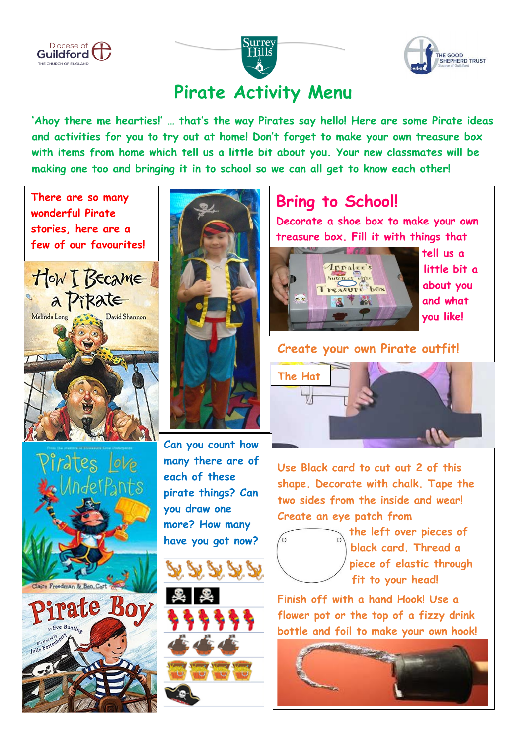





## **Pirate Activity Menu**

**'Ahoy there me hearties!' … that's the way Pirates say hello! Here are some Pirate ideas and activities for you to try out at home! Don't forget to make your own treasure box with items from home which tell us a little bit about you. Your new classmates will be making one too and bringing it in to school so we can all get to know each other!**

 **There are so many wonderful Pirate**  j **stories, here are a few of our favourites!**





e Freedman & Ben.Co

Eve Buntin

rate Boy



**Can you count how many there are of each of these pirate things? Can you draw one more? How many have you got now?**





## **Bring to School!**

**Decorate a shoe box to make your own treasure box. Fill it with things that** 



 **tell us a and what you like!**

#### **Create your own Pirate outfit!**



**Use Black card to cut out 2 of this shape. Decorate with chalk. Tape the two sides from the inside and wear! Create an eye patch from** 



**the left over pieces of black card a black card. Thread a piece piece of elastic through**  fit to your head!

**Finish off with a hand Hook! Use a flower pot or the top of a fizzy drink bottle and foil to make your own hook!**